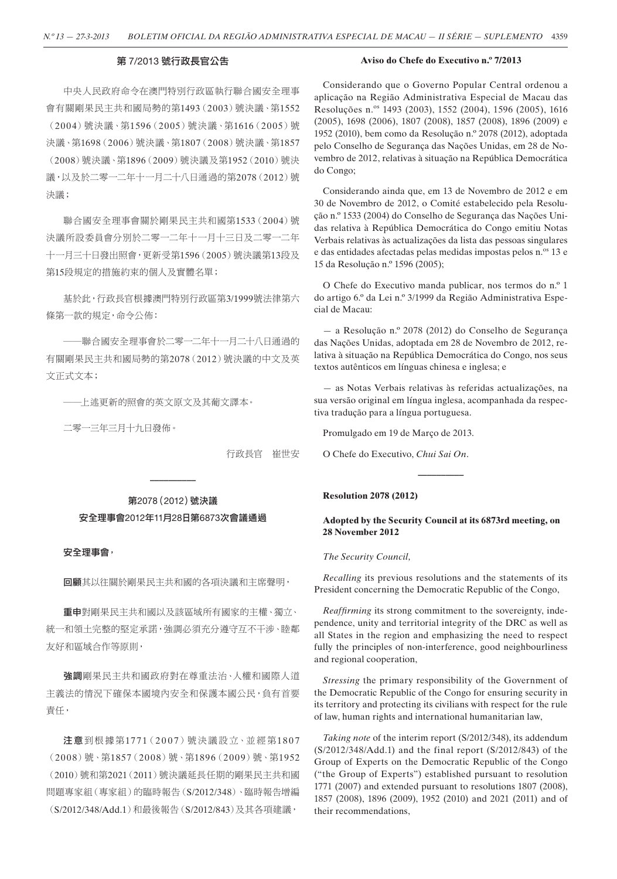## 第 7/2013 號行政長官公告

#### **Aviso do Chefe do Executivo n.º 7/2013**

中央人民政府命令在澳門特別行政區執行聯合國安全理事 會有關剛果民主共和國局勢的第1493(2003)號決議、第1552 (20 04)號決議、第1596(20 05)號決議、第1616(20 05)號 決議、第1698(2006)號決議、第1807(2008)號決議、第1857 (2008)號決議、第1896(2009)號決議及第1952(2010)號決 議,以及於二零一二年十一月二十八日通過的第2078(2012)號 決議;

聯合國安全理事會關於剛果民主共和國第1533 (2004)號 決議所設委員會分別於二零一二年十一月十三日及二零一二年 十一月三十日發出照會,更新受第1596(2005)號決議第13段及 第15段規定的措施約束的個人及實體名單;

基於此,行政長官根據澳門特別行政區第3/1999號法律第六 條第一款的規定,命令公佈:

——聯合國安全理事會於二零一二年十一月二十八日通過的 有關剛果民主共和國局勢的第2078(2012)號決議的中文及英 文正式文本;

——上述更新的照會的英文原文及其葡文譯本。

二零一三年三月十九日發佈。

行政長官 崔世安

第2078(2012)號決議 安全理事會2012年11月28日第6873次會議通過

**––––––––––**

#### 安全理事會,

回顧其以往關於剛果民主共和國的各項決議和主席聲明,

重申對剛果民主共和國以及該區域所有國家的主權、獨立、 統一和領土完整的堅定承諾,強調必須充分遵守互不干涉、睦鄰 友好和區域合作等原則,

进調剛果民主共和國政府對在尊重法治、人權和國際人道 主義法的情況下確保本國境內安全和保護本國公民,負有首要 責任,

注意到根據第1771 (2007)號決議設立、並經第1807 (20 08)號、第1857(20 08)號、第1896(20 09)號、第1952 (2010)號和第2021(2011)號決議延長任期的剛果民主共和國 問題專家組(專家組)的臨時報告(S/2012/348)、臨時報告增編 (S/2012/348/Add.1)和最後報告(S/2012/843)及其各項建議,

Considerando que o Governo Popular Central ordenou a aplicação na Região Administrativa Especial de Macau das Resoluções n.º 1493 (2003), 1552 (2004), 1596 (2005), 1616 (2005), 1698 (2006), 1807 (2008), 1857 (2008), 1896 (2009) e 1952 (2010), bem como da Resolução n.º 2078 (2012), adoptada pelo Conselho de Segurança das Nações Unidas, em 28 de Novembro de 2012, relativas à situação na República Democrática do Congo;

Considerando ainda que, em 13 de Novembro de 2012 e em 30 de Novembro de 2012, o Comité estabelecido pela Resolução n.º 1533 (2004) do Conselho de Segurança das Nações Unidas relativa à República Democrática do Congo emitiu Notas Verbais relativas às actualizações da lista das pessoas singulares e das entidades afectadas pelas medidas impostas pelos n.<sup>os</sup> 13 e 15 da Resolução n.º 1596 (2005);

O Chefe do Executivo manda publicar, nos termos do n.º 1 do artigo 6.º da Lei n.º 3/1999 da Região Administrativa Especial de Macau:

— a Resolução n.º 2078 (2012) do Conselho de Segurança das Nações Unidas, adoptada em 28 de Novembro de 2012, relativa à situação na República Democrática do Congo, nos seus textos autênticos em línguas chinesa e inglesa; e

— as Notas Verbais relativas às referidas actualizações, na sua versão original em língua inglesa, acompanhada da respectiva tradução para a língua portuguesa.

Promulgado em 19 de Março de 2013.

O Chefe do Executivo, *Chui Sai On*.

## **Resolution 2078 (2012)**

# **Adopted by the Security Council at its 6873rd meeting, on 28 November 2012**

**––––––––––**

## *The Security Council,*

*Recalling* its previous resolutions and the statements of its President concerning the Democratic Republic of the Congo,

*Reaffirming* its strong commitment to the sovereignty, independence, unity and territorial integrity of the DRC as well as all States in the region and emphasizing the need to respect fully the principles of non-interference, good neighbourliness and regional cooperation,

*Stressing* the primary responsibility of the Government of the Democratic Republic of the Congo for ensuring security in its territory and protecting its civilians with respect for the rule of law, human rights and international humanitarian law,

*Taking note* of the interim report (S/2012/348), its addendum (S/2012/348/Add.1) and the final report (S/2012/843) of the Group of Experts on the Democratic Republic of the Congo ("the Group of Experts") established pursuant to resolution 1771 (2007) and extended pursuant to resolutions 1807 (2008), 1857 (2008), 1896 (2009), 1952 (2010) and 2021 (2011) and of their recommendations,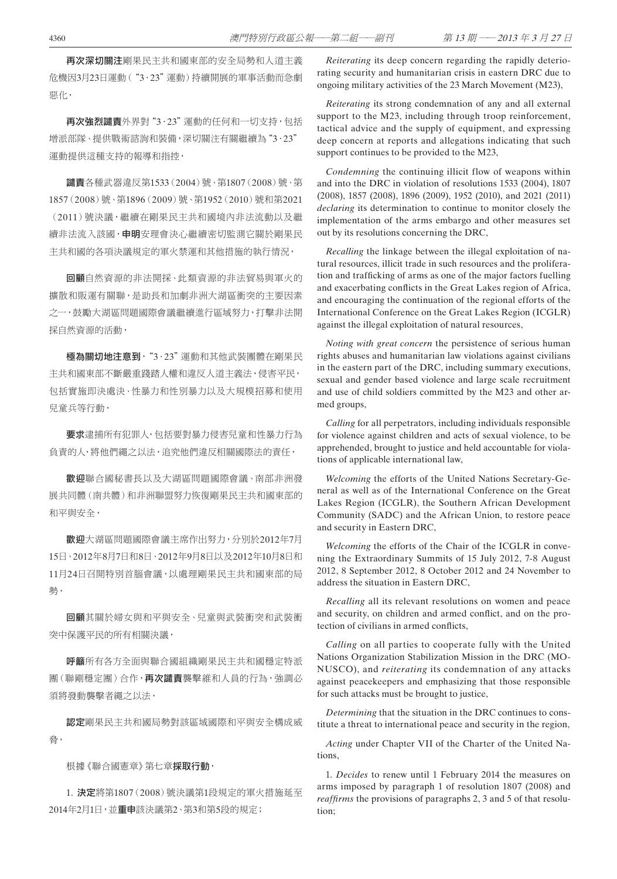再次深切關注剛果民主共和國東部的安全局勢和人道主義 危機因3月23日運動("3.23"運動)持續開展的軍事活動而急劇 惡化,

再次強烈譴責外界對"3·23"運動的任何和一切支持,包括 增派部隊、提供戰術諮詢和裝備,深切關注有關繼續為"3.23" 運動提供這種支持的報導和指控,

譴責各種武器違反第1533(2004)號、第1807(2008)號、第 1857(2008)號、第1896(2009)號、第1952(2010)號和第2021 (2011)號決議,繼續在剛果民主共和國境內非法流動以及繼 續非法流入該國, **申明**安理會決心繼續密切監測它關於剛果民 主共和國的各項決議規定的軍火禁運和其他措施的執行情況,

回顧自然資源的非法開採、此類資源的非法貿易與軍火的 擴散和販運有關聯,是助長和加劇非洲大湖區衝突的主要因素 之一,鼓勵大湖區問題國際會議繼續進行區域努力,打擊非法開 採自然資源的活動,

極為關切地注意到,"3.23"運動和其他武裝團體在剛果民 主共和國東部不斷嚴重踐踏人權和違反人道主義法,侵害平民, 包括實施即決處決、性暴力和性別暴力以及大規模招募和使用 兒童兵等行動,

要求逮捕所有犯罪人,包括要對暴力侵害兒童和性暴力行為 負責的人,將他們繩之以法,追究他們違反相關國際法的責任,

動迎聯合國秘書長以及大湖區問題國際會議、南部非洲發 展共同體(南共體)和非洲聯盟努力恢復剛果民主共和國東部的 和平與安全,

歡迎大湖區問題國際會議主席作出努力,分別於2012年7月 15日、2012年8月7日和8日、2012年9月8日以及2012年10月8日和 11月24日召開特別首腦會議,以處理剛果民主共和國東部的局 勢,

回顧其關於婦女與和平與安全、兒童與武裝衝突和武裝衝 突中保護平民的所有相關決議,

呼籲所有各方全面與聯合國組織剛果民主共和國穩定特派 團(聯剛穩定團)合作, 再次譴責襲擊維和人員的行為, 強調必 須將發動襲擊者繩之以法,

認定剛果民主共和國局勢對該區域國際和平與安全構成威 脅,

根據《聯合國憲章》第七章**採取行動**,

1. 決定將第1807(2008)號決議第1段規定的軍火措施延至 2014年2月1日,並重申該決議第2、第3和第5段的規定;

*Reiterating* its deep concern regarding the rapidly deteriorating security and humanitarian crisis in eastern DRC due to ongoing military activities of the 23 March Movement (M23),

*Reiterating* its strong condemnation of any and all external support to the M23, including through troop reinforcement, tactical advice and the supply of equipment, and expressing deep concern at reports and allegations indicating that such support continues to be provided to the M23,

*Condemning* the continuing illicit flow of weapons within and into the DRC in violation of resolutions 1533 (2004), 1807 (2008), 1857 (2008), 1896 (2009), 1952 (2010), and 2021 (2011) *declaring* its determination to continue to monitor closely the implementation of the arms embargo and other measures set out by its resolutions concerning the DRC,

*Recalling* the linkage between the illegal exploitation of natural resources, illicit trade in such resources and the proliferation and trafficking of arms as one of the major factors fuelling and exacerbating conflicts in the Great Lakes region of Africa, and encouraging the continuation of the regional efforts of the International Conference on the Great Lakes Region (ICGLR) against the illegal exploitation of natural resources,

*Noting with great concern* the persistence of serious human rights abuses and humanitarian law violations against civilians in the eastern part of the DRC, including summary executions, sexual and gender based violence and large scale recruitment and use of child soldiers committed by the M23 and other armed groups,

*Calling* for all perpetrators, including individuals responsible for violence against children and acts of sexual violence, to be apprehended, brought to justice and held accountable for violations of applicable international law,

*Welcoming* the efforts of the United Nations Secretary-General as well as of the International Conference on the Great Lakes Region (ICGLR), the Southern African Development Community (SADC) and the African Union, to restore peace and security in Eastern DRC,

*Welcoming* the efforts of the Chair of the ICGLR in convening the Extraordinary Summits of 15 July 2012, 7-8 August 2012, 8 September 2012, 8 October 2012 and 24 November to address the situation in Eastern DRC,

*Recalling* all its relevant resolutions on women and peace and security, on children and armed conflict, and on the protection of civilians in armed conflicts,

*Calling* on all parties to cooperate fully with the United Nations Organization Stabilization Mission in the DRC (MO-NUSCO), and *reiterating* its condemnation of any attacks against peacekeepers and emphasizing that those responsible for such attacks must be brought to justice,

*Determining* that the situation in the DRC continues to constitute a threat to international peace and security in the region,

*Acting* under Chapter VII of the Charter of the United Nations,

1. *Decides* to renew until 1 February 2014 the measures on arms imposed by paragraph 1 of resolution 1807 (2008) and *reaffirms* the provisions of paragraphs 2, 3 and 5 of that resolution;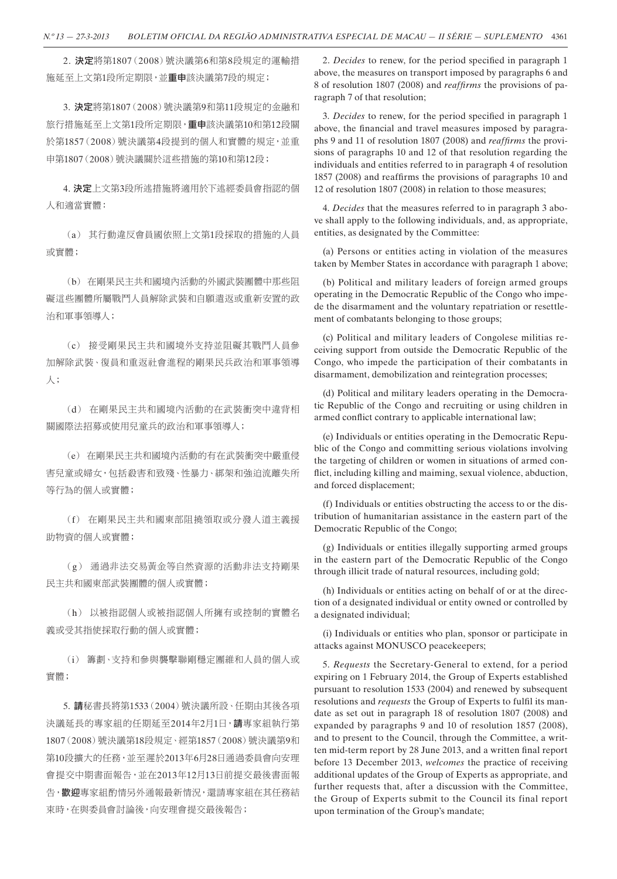2. 決定將第1807(2008)號決議第6和第8段規定的運輸措 施延至上文第1段所定期限,並重申該決議第7段的規定;

3. 決定將第1807(2008)號決議第9和第11段規定的金融和 旅行措施延至上文第1段所定期限, 重申該決議第10和第12段關 於第1857(2008)號決議第4段提到的個人和實體的規定,並重 申第1807(2008)號決議關於這些措施的第10和第12段;

4. 決定上文第3段所述措施將適用於下述經委員會指認的個 人和適當實體:

(a) 其行動違反會員國依照上文第1段採取的措施的人員 或實體;

(b) 在剛果民主共和國境內活動的外國武裝團體中那些阻 礙這些團體所屬戰鬥人員解除武裝和自願遣返或重新安置的政 治和軍事領導人;

(c) 接受剛果民主共和國境外支持並阻礙其戰鬥人員參 加解除武裝、復員和重返社會進程的剛果民兵政治和軍事領導 人;

(d) 在剛果民主共和國境內活動的在武裝衝突中違背相 關國際法招募或使用兒童兵的政治和軍事領導人;

(e) 在剛果民主共和國境內活動的有在武裝衝突中嚴重侵 害兒童或婦女,包括殺害和致殘、性暴力、綁架和強迫流離失所 等行為的個人或實體;

(f) 在剛果民主共和國東部阻撓領取或分發人道主義援 助物資的個人或實體;

(g) 通過非法交易黃金等自然資源的活動非法支持剛果 民主共和國東部武裝團體的個人或實體;

(h) 以被指認個人或被指認個人所擁有或控制的實體名 義或受其指使採取行動的個人或實體;

(i) 籌劃、支持和參與襲擊聯剛穩定團維和人員的個人或 實體;

5. 請秘書長將第1533(2004)號決議所設、任期由其後各項 決議延長的專家組的任期延至2014年2月1日,請專家組執行第 1807(2008)號決議第18段規定、經第1857(2008)號決議第9和 第10段擴大的任務,並至遲於2013年6月28日通過委員會向安理 會提交中期書面報告,並在2013年12月13日前提交最後書面報 告,歡迎專家組酌情另外通報最新情況,還請專家組在其任務結 束時,在與委員會討論後,向安理會提交最後報告;

2. *Decides* to renew, for the period specified in paragraph 1 above, the measures on transport imposed by paragraphs 6 and 8 of resolution 1807 (2008) and *reaffirms* the provisions of paragraph 7 of that resolution;

3. *Decides* to renew, for the period specified in paragraph 1 above, the financial and travel measures imposed by paragraphs 9 and 11 of resolution 1807 (2008) and *reaffirms* the provisions of paragraphs 10 and 12 of that resolution regarding the individuals and entities referred to in paragraph 4 of resolution 1857 (2008) and reaffirms the provisions of paragraphs 10 and 12 of resolution 1807 (2008) in relation to those measures;

4. *Decides* that the measures referred to in paragraph 3 above shall apply to the following individuals, and, as appropriate, entities, as designated by the Committee:

(a) Persons or entities acting in violation of the measures taken by Member States in accordance with paragraph 1 above;

(b) Political and military leaders of foreign armed groups operating in the Democratic Republic of the Congo who impede the disarmament and the voluntary repatriation or resettlement of combatants belonging to those groups;

(c) Political and military leaders of Congolese militias receiving support from outside the Democratic Republic of the Congo, who impede the participation of their combatants in disarmament, demobilization and reintegration processes;

(d) Political and military leaders operating in the Democratic Republic of the Congo and recruiting or using children in armed conflict contrary to applicable international law;

(e) Individuals or entities operating in the Democratic Republic of the Congo and committing serious violations involving the targeting of children or women in situations of armed conflict, including killing and maiming, sexual violence, abduction, and forced displacement;

(f) Individuals or entities obstructing the access to or the distribution of humanitarian assistance in the eastern part of the Democratic Republic of the Congo;

(g) Individuals or entities illegally supporting armed groups in the eastern part of the Democratic Republic of the Congo through illicit trade of natural resources, including gold;

(h) Individuals or entities acting on behalf of or at the direction of a designated individual or entity owned or controlled by a designated individual;

(i) Individuals or entities who plan, sponsor or participate in attacks against MONUSCO peacekeepers;

5. *Requests* the Secretary-General to extend, for a period expiring on 1 February 2014, the Group of Experts established pursuant to resolution 1533 (2004) and renewed by subsequent resolutions and *requests* the Group of Experts to fulfil its mandate as set out in paragraph 18 of resolution 1807 (2008) and expanded by paragraphs 9 and 10 of resolution 1857 (2008), and to present to the Council, through the Committee, a written mid-term report by 28 June 2013, and a written final report before 13 December 2013, *welcomes* the practice of receiving additional updates of the Group of Experts as appropriate, and further requests that, after a discussion with the Committee, the Group of Experts submit to the Council its final report upon termination of the Group's mandate;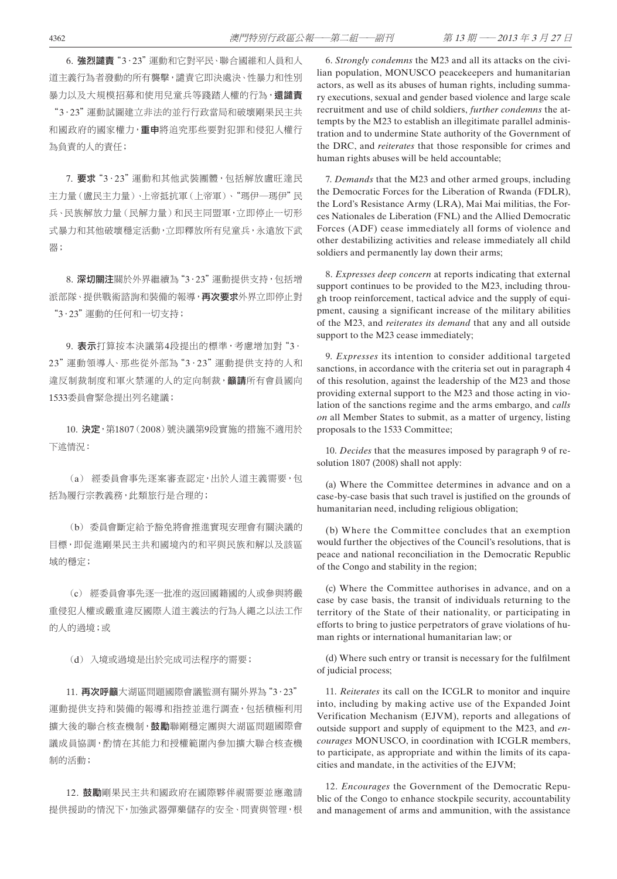6. 強烈譴責"3·23"運動和它對平民、聯合國維和人員和人 道主義行為者發動的所有襲擊,譴責它即決處決、性暴力和性別 暴力以及大規模招募和使用兒童兵等踐踏人權的行為,還譴責

"3.23"運動試圖建立非法的並行行政當局和破壞剛果民主共 和國政府的國家權力,**重申**將追究那些要對犯罪和侵犯人權行 為負責的人的責任;

7. 要求"3·23"運動和其他武裝團體,包括解放盧旺達民 主力量(盧民主力量)、上帝抵抗軍(上帝軍)、"瑪伊―瑪伊"民 兵、民族解放力量(民解力量)和民主同盟軍,立即停止一切形 式暴力和其他破壞穩定活動,立即釋放所有兒童兵,永遠放下武 器;

8. 深切關注關於外界繼續為"3·23"運動提供支持,包括增 派部隊、提供戰術諮詢和裝備的報導,再次要求外界立即停止對 "3.23"運動的任何和一切支持;

9. 表示打算按本決議第4段提出的標準,考慮增加對"3· 23"運動領導人、那些從外部為"3.23"運動提供支持的人和 違反制裁制度和軍火禁運的人的定向制裁, **籲請**所有會員國向 1533委員會緊急提出列名建議;

10. 決定,第1807(2008)號決議第9段實施的措施不適用於 下述情況:

(a) 經委員會事先逐案審查認定,出於人道主義需要,包 括為履行宗教義務,此類旅行是合理的;

(b) 委員會斷定給予豁免將會推進實現安理會有關決議的 目標,即促進剛果民主共和國境內的和平與民族和解以及該區 域的穩定;

(c) 經委員會事先逐一批准的返回國籍國的人或參與將嚴 重侵犯人權或嚴重違反國際人道主義法的行為人繩之以法工作 的人的過境;或

(d) 入境或過境是出於完成司法程序的需要;

11. 再次呼籲大湖區問題國際會議監測有關外界為"3·23" 運動提供支持和裝備的報導和指控並進行調查,包括積極利用 精大後的聯合核查機制,鼓勵聯剛穩定團與大湖區問題國際會 議成員協調,酌情在其能力和授權範圍內參加擴大聯合核查機 制的活動;

12. 鼓勵剛果民主共和國政府在國際夥伴視需要並應邀請 提供援助的情況下,加強武器彈藥儲存的安全、問責與管理,根

6. *Strongly condemns* the M23 and all its attacks on the civilian population, MONUSCO peacekeepers and humanitarian actors, as well as its abuses of human rights, including summary executions, sexual and gender based violence and large scale recruitment and use of child soldiers, *further condemns* the attempts by the M23 to establish an illegitimate parallel administration and to undermine State authority of the Government of the DRC, and *reiterates* that those responsible for crimes and human rights abuses will be held accountable;

7. *Demands* that the M23 and other armed groups, including the Democratic Forces for the Liberation of Rwanda (FDLR), the Lord's Resistance Army (LRA), Mai Mai militias, the Forces Nationales de Liberation (FNL) and the Allied Democratic Forces (ADF) cease immediately all forms of violence and other destabilizing activities and release immediately all child soldiers and permanently lay down their arms;

8. *Expresses deep concern* at reports indicating that external support continues to be provided to the M23, including through troop reinforcement, tactical advice and the supply of equipment, causing a significant increase of the military abilities of the M23, and *reiterates its demand* that any and all outside support to the M23 cease immediately;

9. *Expresses* its intention to consider additional targeted sanctions, in accordance with the criteria set out in paragraph 4 of this resolution, against the leadership of the M23 and those providing external support to the M23 and those acting in violation of the sanctions regime and the arms embargo, and *calls on* all Member States to submit, as a matter of urgency, listing proposals to the 1533 Committee;

10. *Decides* that the measures imposed by paragraph 9 of resolution 1807 (2008) shall not apply:

(a) Where the Committee determines in advance and on a case-by-case basis that such travel is justified on the grounds of humanitarian need, including religious obligation;

(b) Where the Committee concludes that an exemption would further the objectives of the Council's resolutions, that is peace and national reconciliation in the Democratic Republic of the Congo and stability in the region;

(c) Where the Committee authorises in advance, and on a case by case basis, the transit of individuals returning to the territory of the State of their nationality, or participating in efforts to bring to justice perpetrators of grave violations of human rights or international humanitarian law; or

(d) Where such entry or transit is necessary for the fulfilment of judicial process;

11. *Reiterates* its call on the ICGLR to monitor and inquire into, including by making active use of the Expanded Joint Verification Mechanism (EJVM), reports and allegations of outside support and supply of equipment to the M23, and *encourages* MONUSCO, in coordination with ICGLR members, to participate, as appropriate and within the limits of its capacities and mandate, in the activities of the EJVM;

12. *Encourages* the Government of the Democratic Republic of the Congo to enhance stockpile security, accountability and management of arms and ammunition, with the assistance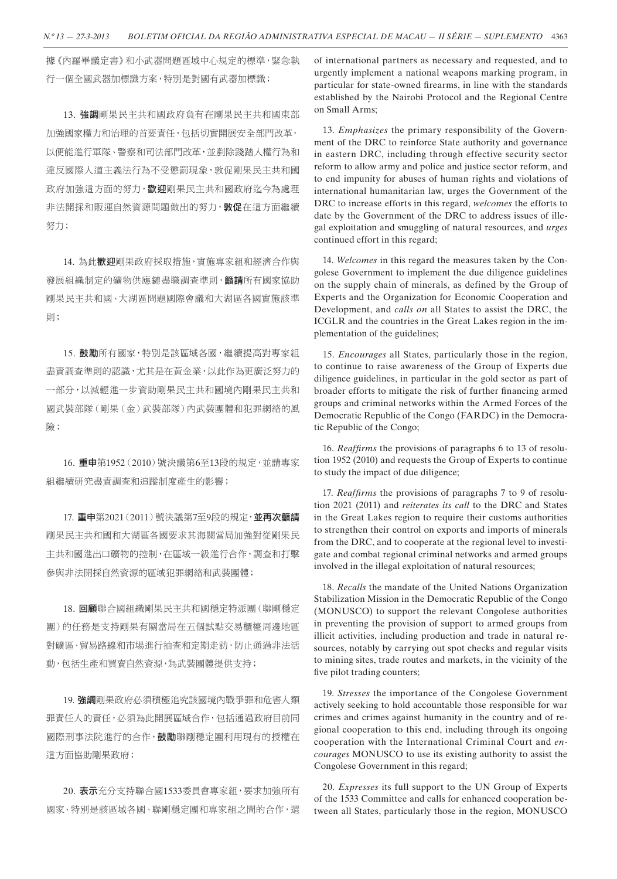據《內羅畢議定書》和小武器問題區域中心規定的標準,緊急執 行一個全國武器加標識方案,特別是對國有武器加標識;

13. 強調剛果民主共和國政府負有在剛果民主共和國東部 加強國家權力和治理的首要責任,包括切實開展安全部門改革, 以便能進行軍隊、警察和司法部門改革,並剷除踐踏人權行為和 違反國際人道主義法行為不受懲罰現象,敦促剛果民主共和國 政府加強這方面的努力, 歡迎剛果民主共和國政府汔今為處理 非法開採和販運自然資源問題做出的努力, 敦促在這方面繼續 努力;

14. 為此歡迎剛果政府採取措施,實施專家組和經濟合作與 發展組織制定的礦物供應鏈盡職調查準則,籲請所有國家協助 剛果民主共和國、大湖區問題國際會議和大湖區各國實施該準 則;

15. 鼓勵所有國家, 特別是該區域各國, 繼續提高對專家組 盡責調查準則的認識,尤其是在黃金業,以此作為更廣泛努力的 一部分,以減輕進一步資助剛果民主共和國境內剛果民主共和 國武裝部隊(剛果(金)武裝部隊)內武裝團體和犯罪網絡的風 險;

16. 重申第1952(2010)號決議第6至13段的規定,並請專家 組繼續研究盡責調查和追蹤制度產生的影響;

17. 重申第2021 (2011)號決議第7至9段的規定,並再次籲請 剛果民主共和國和大湖區各國要求其海關當局加強對從剛果民 主共和國進出口礦物的控制,在區域一級進行合作,調查和打擊 參與非法開採自然資源的區域犯罪網絡和武裝團體;

18. 回顧聯合國組織剛果民主共和國穩定特派團(聯剛穩定 團)的任務是支持剛果有關當局在五個試點交易櫃檯周邊地區 對礦區、貿易路線和市場進行抽查和定期走訪,防止通過非法活 動,包括生產和買賣自然資源,為武裝團體提供支持;

19. 強調剛果政府必須積極追究該國境內戰爭罪和危害人類 罪責任人的責任,必須為此開展區域合作,包括通過政府目前同 國際刑事法院進行的合作,鼓勵聯剛穩定團利用現有的授權在 這方面協助剛果政府;

20. 表示充分支持聯合國1533委員會專家組,要求加強所有 國家、特別是該區域各國、聯剛穩定團和專家組之間的合作,還 of international partners as necessary and requested, and to urgently implement a national weapons marking program, in particular for state-owned firearms, in line with the standards established by the Nairobi Protocol and the Regional Centre on Small Arms;

13. *Emphasizes* the primary responsibility of the Government of the DRC to reinforce State authority and governance in eastern DRC, including through effective security sector reform to allow army and police and justice sector reform, and to end impunity for abuses of human rights and violations of international humanitarian law, urges the Government of the DRC to increase efforts in this regard, *welcomes* the efforts to date by the Government of the DRC to address issues of illegal exploitation and smuggling of natural resources, and *urges*  continued effort in this regard;

14. *Welcomes* in this regard the measures taken by the Congolese Government to implement the due diligence guidelines on the supply chain of minerals, as defined by the Group of Experts and the Organization for Economic Cooperation and Development, and *calls on* all States to assist the DRC, the ICGLR and the countries in the Great Lakes region in the implementation of the guidelines;

15. *Encourages* all States, particularly those in the region, to continue to raise awareness of the Group of Experts due diligence guidelines, in particular in the gold sector as part of broader efforts to mitigate the risk of further financing armed groups and criminal networks within the Armed Forces of the Democratic Republic of the Congo (FARDC) in the Democratic Republic of the Congo;

16. *Reaffirms* the provisions of paragraphs 6 to 13 of resolution 1952 (2010) and requests the Group of Experts to continue to study the impact of due diligence;

17. *Reaffirms* the provisions of paragraphs 7 to 9 of resolution 2021 (2011) and *reiterates its call* to the DRC and States in the Great Lakes region to require their customs authorities to strengthen their control on exports and imports of minerals from the DRC, and to cooperate at the regional level to investigate and combat regional criminal networks and armed groups involved in the illegal exploitation of natural resources;

18. *Recalls* the mandate of the United Nations Organization Stabilization Mission in the Democratic Republic of the Congo (MONUSCO) to support the relevant Congolese authorities in preventing the provision of support to armed groups from illicit activities, including production and trade in natural resources, notably by carrying out spot checks and regular visits to mining sites, trade routes and markets, in the vicinity of the five pilot trading counters;

19. *Stresses* the importance of the Congolese Government actively seeking to hold accountable those responsible for war crimes and crimes against humanity in the country and of regional cooperation to this end, including through its ongoing cooperation with the International Criminal Court and *encourages* MONUSCO to use its existing authority to assist the Congolese Government in this regard;

20. *Expresses* its full support to the UN Group of Experts of the 1533 Committee and calls for enhanced cooperation between all States, particularly those in the region, MONUSCO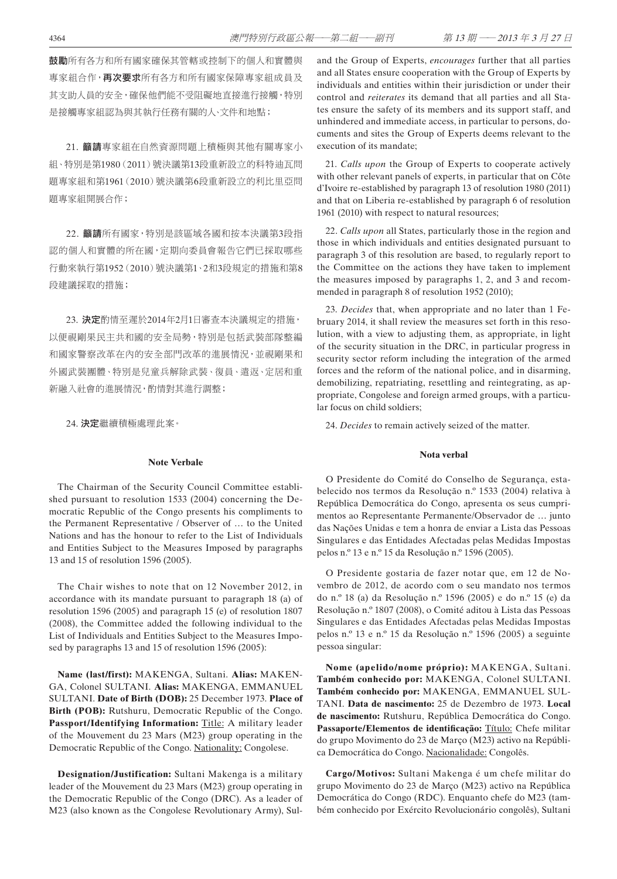鼓勵所有各方和所有國家確保其管轄或控制下的個人和實體與 專家組合作,**再次要求**所有各方和所有國家保障專家組成員及 其支助人員的安全,確保他們能不受阻礙地直接進行接觸,特別 是接觸專家組認為與其執行任務有關的人、文件和地點;

21. 籲請專家組在自然資源問題上積極與其他有關專家小 組、特別是第1980(2011)號決議第13段重新設立的科特迪瓦問 題專家組和第1961(2010)號決議第6段重新設立的利比里亞問 題專家組開展合作;

22. 籲請所有國家,特別是該區域各國和按本決議第3段指 認的個人和實體的所在國,定期向委員會報告它們已採取哪些 行動來執行第1952(2010)號決議第1、2和3段規定的措施和第8 段建議採取的措施;

23. 決定酌情至遲於2014年2月1日審查本決議規定的措施, 以便視剛果民主共和國的安全局勢,特別是包括武裝部隊整編 和國家警察改革在內的安全部門改革的進展情況,並視剛果和 外國武裝團體、特別是兒童兵解除武裝、復員、遣返、定居和重 新融入社會的進展情況,酌情對其進行調整;

24. 決定繼續積極處理此案。

#### **Note Verbale**

The Chairman of the Security Council Committee established pursuant to resolution 1533 (2004) concerning the Democratic Republic of the Congo presents his compliments to the Permanent Representative / Observer of … to the United Nations and has the honour to refer to the List of Individuals and Entities Subject to the Measures Imposed by paragraphs 13 and 15 of resolution 1596 (2005).

The Chair wishes to note that on 12 November 2012, in accordance with its mandate pursuant to paragraph 18 (a) of resolution 1596 (2005) and paragraph 15 (e) of resolution 1807 (2008), the Committee added the following individual to the List of Individuals and Entities Subject to the Measures Imposed by paragraphs 13 and 15 of resolution 1596 (2005):

**Name (last/first):** MAKENGA, Sultani. **Alias:** MAKEN-GA, Colonel SULTANI. **Alias:** MAKENGA, EMMANUEL SULTANI. **Date of Birth (DOB):** 25 December 1973. **Place of Birth (POB):** Rutshuru, Democratic Republic of the Congo. Passport/Identifying Information: Title: A military leader of the Mouvement du 23 Mars (M23) group operating in the Democratic Republic of the Congo. Nationality: Congolese.

**Designation/Justification:** Sultani Makenga is a military leader of the Mouvement du 23 Mars (M23) group operating in the Democratic Republic of the Congo (DRC). As a leader of M23 (also known as the Congolese Revolutionary Army), Suland the Group of Experts, *encourages* further that all parties and all States ensure cooperation with the Group of Experts by individuals and entities within their jurisdiction or under their control and *reiterates* its demand that all parties and all States ensure the safety of its members and its support staff, and unhindered and immediate access, in particular to persons, documents and sites the Group of Experts deems relevant to the execution of its mandate;

21. *Calls upon* the Group of Experts to cooperate actively with other relevant panels of experts, in particular that on Côte d'Ivoire re-established by paragraph 13 of resolution 1980 (2011) and that on Liberia re-established by paragraph 6 of resolution 1961 (2010) with respect to natural resources;

22. *Calls upon* all States, particularly those in the region and those in which individuals and entities designated pursuant to paragraph 3 of this resolution are based, to regularly report to the Committee on the actions they have taken to implement the measures imposed by paragraphs 1, 2, and 3 and recommended in paragraph 8 of resolution 1952 (2010);

23. *Decides* that, when appropriate and no later than 1 February 2014, it shall review the measures set forth in this resolution, with a view to adjusting them, as appropriate, in light of the security situation in the DRC, in particular progress in security sector reform including the integration of the armed forces and the reform of the national police, and in disarming, demobilizing, repatriating, resettling and reintegrating, as appropriate, Congolese and foreign armed groups, with a particular focus on child soldiers;

24. *Decides* to remain actively seized of the matter.

## **Nota verbal**

O Presidente do Comité do Conselho de Segurança, estabelecido nos termos da Resolução n.º 1533 (2004) relativa à República Democrática do Congo, apresenta os seus cumprimentos ao Representante Permanente/Observador de … junto das Nações Unidas e tem a honra de enviar a Lista das Pessoas Singulares e das Entidades Afectadas pelas Medidas Impostas pelos n.º 13 e n.º 15 da Resolução n.º 1596 (2005).

O Presidente gostaria de fazer notar que, em 12 de Novembro de 2012, de acordo com o seu mandato nos termos do n.º 18 (a) da Resolução n.º 1596 (2005) e do n.º 15 (e) da Resolução n.º 1807 (2008), o Comité aditou à Lista das Pessoas Singulares e das Entidades Afectadas pelas Medidas Impostas pelos n.º 13 e n.º 15 da Resolução n.º 1596 (2005) a seguinte pessoa singular:

**Nome (apelido/nome próprio):** MAKENGA, Sultani. **Também conhecido por:** MAKENGA, Colonel SULTANI. **Também conhecido por:** MAKENGA, EMMANUEL SUL-TANI. **Data de nascimento:** 25 de Dezembro de 1973. **Local de nascimento:** Rutshuru, República Democrática do Congo. **Passaporte/Elementos de identificação:** Título: Chefe militar do grupo Movimento do 23 de Março (M23) activo na República Democrática do Congo. Nacionalidade: Congolês.

**Cargo/Motivos:** Sultani Makenga é um chefe militar do grupo Movimento do 23 de Março (M23) activo na República Democrática do Congo (RDC). Enquanto chefe do M23 (também conhecido por Exército Revolucionário congolês), Sultani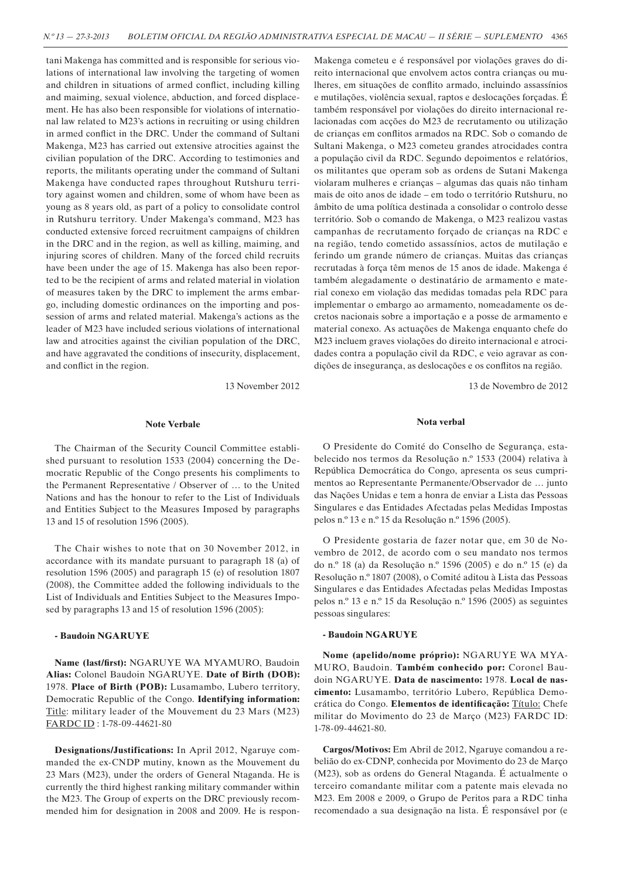tani Makenga has committed and is responsible for serious violations of international law involving the targeting of women and children in situations of armed conflict, including killing and maiming, sexual violence, abduction, and forced displacement. He has also been responsible for violations of international law related to M23's actions in recruiting or using children in armed conflict in the DRC. Under the command of Sultani Makenga, M23 has carried out extensive atrocities against the civilian population of the DRC. According to testimonies and reports, the militants operating under the command of Sultani Makenga have conducted rapes throughout Rutshuru territory against women and children, some of whom have been as young as 8 years old, as part of a policy to consolidate control in Rutshuru territory. Under Makenga's command, M23 has conducted extensive forced recruitment campaigns of children in the DRC and in the region, as well as killing, maiming, and injuring scores of children. Many of the forced child recruits have been under the age of 15. Makenga has also been reported to be the recipient of arms and related material in violation of measures taken by the DRC to implement the arms embargo, including domestic ordinances on the importing and possession of arms and related material. Makenga's actions as the leader of M23 have included serious violations of international law and atrocities against the civilian population of the DRC, and have aggravated the conditions of insecurity, displacement, and conflict in the region.

13 November 2012

#### **Note Verbale**

The Chairman of the Security Council Committee established pursuant to resolution 1533 (2004) concerning the Democratic Republic of the Congo presents his compliments to the Permanent Representative / Observer of … to the United Nations and has the honour to refer to the List of Individuals and Entities Subject to the Measures Imposed by paragraphs 13 and 15 of resolution 1596 (2005).

The Chair wishes to note that on 30 November 2012, in accordance with its mandate pursuant to paragraph 18 (a) of resolution 1596 (2005) and paragraph 15 (e) of resolution 1807 (2008), the Committee added the following individuals to the List of Individuals and Entities Subject to the Measures Imposed by paragraphs 13 and 15 of resolution 1596 (2005):

### **- Baudoin NGARUYE**

**Name (last/first):** NGARUYE WA MYAMURO, Baudoin **Alias:** Colonel Baudoin NGARUYE. **Date of Birth (DOB):**  1978. **Place of Birth (POB):** Lusamambo, Lubero territory, Democratic Republic of the Congo. **Identifying information:** Title: military leader of the Mouvement du 23 Mars (M23) FARDC ID : 1-78-09-44621-80

**Designations/Justifications:** In April 2012, Ngaruye commanded the ex-CNDP mutiny, known as the Mouvement du 23 Mars (M23), under the orders of General Ntaganda. He is currently the third highest ranking military commander within the M23. The Group of experts on the DRC previously recommended him for designation in 2008 and 2009. He is respon-

Makenga cometeu e é responsável por violações graves do direito internacional que envolvem actos contra crianças ou mulheres, em situações de conflito armado, incluindo assassínios e mutilações, violência sexual, raptos e deslocações forçadas. É também responsável por violações do direito internacional relacionadas com acções do M23 de recrutamento ou utilização de crianças em conflitos armados na RDC. Sob o comando de Sultani Makenga, o M23 cometeu grandes atrocidades contra a população civil da RDC. Segundo depoimentos e relatórios, os militantes que operam sob as ordens de Sutani Makenga violaram mulheres e crianças – algumas das quais não tinham mais de oito anos de idade – em todo o território Rutshuru, no âmbito de uma política destinada a consolidar o controlo desse território. Sob o comando de Makenga, o M23 realizou vastas campanhas de recrutamento forçado de crianças na RDC e na região, tendo cometido assassínios, actos de mutilação e ferindo um grande número de crianças. Muitas das crianças recrutadas à força têm menos de 15 anos de idade. Makenga é também alegadamente o destinatário de armamento e material conexo em violação das medidas tomadas pela RDC para implementar o embargo ao armamento, nomeadamente os decretos nacionais sobre a importação e a posse de armamento e material conexo. As actuações de Makenga enquanto chefe do M23 incluem graves violações do direito internacional e atrocidades contra a população civil da RDC, e veio agravar as condições de insegurança, as deslocações e os conflitos na região.

13 de Novembro de 2012

### **Nota verbal**

O Presidente do Comité do Conselho de Segurança, estabelecido nos termos da Resolução n.º 1533 (2004) relativa à República Democrática do Congo, apresenta os seus cumprimentos ao Representante Permanente/Observador de … junto das Nações Unidas e tem a honra de enviar a Lista das Pessoas Singulares e das Entidades Afectadas pelas Medidas Impostas pelos n.º 13 e n.º 15 da Resolução n.º 1596 (2005).

O Presidente gostaria de fazer notar que, em 30 de Novembro de 2012, de acordo com o seu mandato nos termos do n.º 18 (a) da Resolução n.º 1596 (2005) e do n.º 15 (e) da Resolução n.º 1807 (2008), o Comité aditou à Lista das Pessoas Singulares e das Entidades Afectadas pelas Medidas Impostas pelos n.º 13 e n.º 15 da Resolução n.º 1596 (2005) as seguintes pessoas singulares:

### **- Baudoin NGARUYE**

**Nome (apelido/nome próprio):** NGARUYE WA MYA-MURO, Baudoin. **Também conhecido por:** Coronel Baudoin NGARUYE. **Data de nascimento:** 1978. **Local de nascimento:** Lusamambo, território Lubero, República Democrática do Congo. **Elementos de identificação:** Título: Chefe militar do Movimento do 23 de Março (M23) FARDC ID: 1-78-09-44621-80.

**Cargos/Motivos:** Em Abril de 2012, Ngaruye comandou a rebelião do ex-CDNP, conhecida por Movimento do 23 de Março (M23), sob as ordens do General Ntaganda. É actualmente o terceiro comandante militar com a patente mais elevada no M23. Em 2008 e 2009, o Grupo de Peritos para a RDC tinha recomendado a sua designação na lista. É responsável por (e